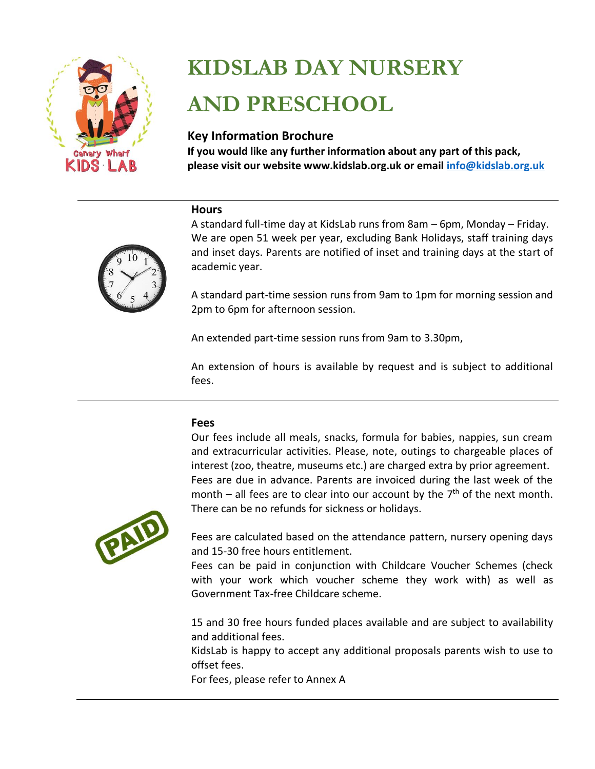

# **KIDSLAB DAY NURSERY AND PRESCHOOL**

# **Key Information Brochure**

**If you would like any further information about any part of this pack, please visit our website www.kidslab.org.uk or email [info@kidslab.org.uk](mailto:info@kidslab.org.uk)**

### **Hours**



A standard full-time day at KidsLab runs from 8am – 6pm, Monday – Friday. We are open 51 week per year, excluding Bank Holidays, staff training days and inset days. Parents are notified of inset and training days at the start of academic year.

A standard part-time session runs from 9am to 1pm for morning session and 2pm to 6pm for afternoon session.

An extended part-time session runs from 9am to 3.30pm,

An extension of hours is available by request and is subject to additional fees.

# **Fees**

Our fees include all meals, snacks, formula for babies, nappies, sun cream and extracurricular activities. Please, note, outings to chargeable places of interest (zoo, theatre, museums etc.) are charged extra by prior agreement. Fees are due in advance. Parents are invoiced during the last week of the month  $-$  all fees are to clear into our account by the  $7<sup>th</sup>$  of the next month. There can be no refunds for sickness or holidays.



Fees are calculated based on the attendance pattern, nursery opening days and 15-30 free hours entitlement.

Fees can be paid in conjunction with Childcare Voucher Schemes (check with your work which voucher scheme they work with) as well as Government Tax-free Childcare scheme.

15 and 30 free hours funded places available and are subject to availability and additional fees.

KidsLab is happy to accept any additional proposals parents wish to use to offset fees.

For fees, please refer to Annex A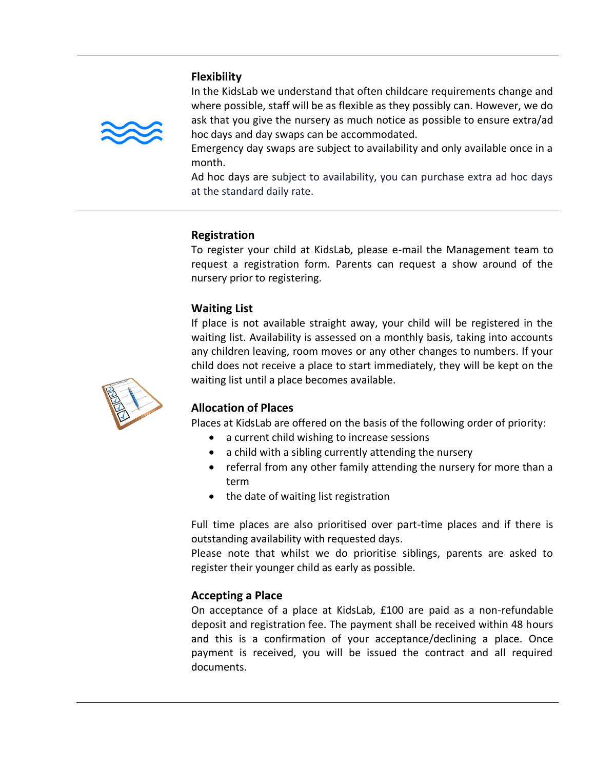### **Flexibility**



In the KidsLab we understand that often childcare requirements change and where possible, staff will be as flexible as they possibly can. However, we do ask that you give the nursery as much notice as possible to ensure extra/ad hoc days and day swaps can be accommodated.

Emergency day swaps are subject to availability and only available once in a month.

Ad hoc days are subject to availability, you can purchase extra ad hoc days at the standard daily rate.

### **Registration**

To register your child at KidsLab, please e-mail the Management team to request a registration form. Parents can request a show around of the nursery prior to registering.

### **Waiting List**

If place is not available straight away, your child will be registered in the waiting list. Availability is assessed on a monthly basis, taking into accounts any children leaving, room moves or any other changes to numbers. If your child does not receive a place to start immediately, they will be kept on the waiting list until a place becomes available.



# **Allocation of Places**

Places at KidsLab are offered on the basis of the following order of priority:

- a current child wishing to increase sessions
- a child with a sibling currently attending the nursery
- referral from any other family attending the nursery for more than a term
- the date of waiting list registration

Full time places are also prioritised over part-time places and if there is outstanding availability with requested days.

Please note that whilst we do prioritise siblings, parents are asked to register their younger child as early as possible.

### **Accepting a Place**

On acceptance of a place at KidsLab, £100 are paid as a non-refundable deposit and registration fee. The payment shall be received within 48 hours and this is a confirmation of your acceptance/declining a place. Once payment is received, you will be issued the contract and all required documents.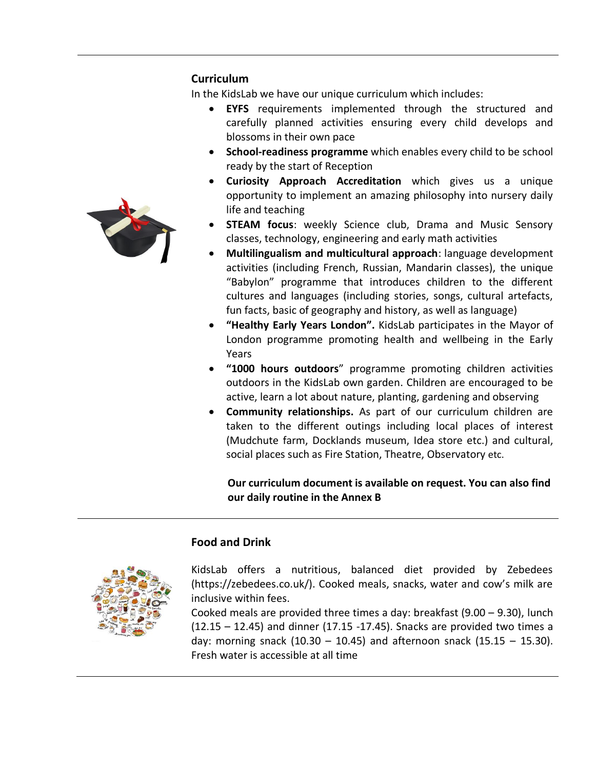### **Curriculum**

In the KidsLab we have our unique curriculum which includes:

- **EYFS** requirements implemented through the structured and carefully planned activities ensuring every child develops and blossoms in their own pace
- **School-readiness programme** which enables every child to be school ready by the start of Reception
- **Curiosity Approach Accreditation** which gives us a unique opportunity to implement an amazing philosophy into nursery daily life and teaching
- **STEAM focus:** weekly Science club, Drama and Music Sensory classes, technology, engineering and early math activities
- **Multilingualism and multicultural approach**: language development activities (including French, Russian, Mandarin classes), the unique "Babylon" programme that introduces children to the different cultures and languages (including stories, songs, cultural artefacts, fun facts, basic of geography and history, as well as language)
- **"Healthy Early Years London".** KidsLab participates in the Mayor of London programme promoting health and wellbeing in the Early Years
- **"1000 hours outdoors**" programme promoting children activities outdoors in the KidsLab own garden. Children are encouraged to be active, learn a lot about nature, planting, gardening and observing
- **Community relationships.** As part of our curriculum children are taken to the different outings including local places of interest (Mudchute farm, Docklands museum, Idea store etc.) and cultural, social places such as Fire Station, Theatre, Observatory etc.

 **Our curriculum document is available on request. You can also find our daily routine in the Annex B**

# **Food and Drink**

KidsLab offers a nutritious, balanced diet provided by Zebedees (https://zebedees.co.uk/). Cooked meals, snacks, water and cow's milk are inclusive within fees.

Cooked meals are provided three times a day: breakfast (9.00 – 9.30), lunch (12.15 – 12.45) and dinner (17.15 -17.45). Snacks are provided two times a day: morning snack  $(10.30 - 10.45)$  and afternoon snack  $(15.15 - 15.30)$ . Fresh water is accessible at all time

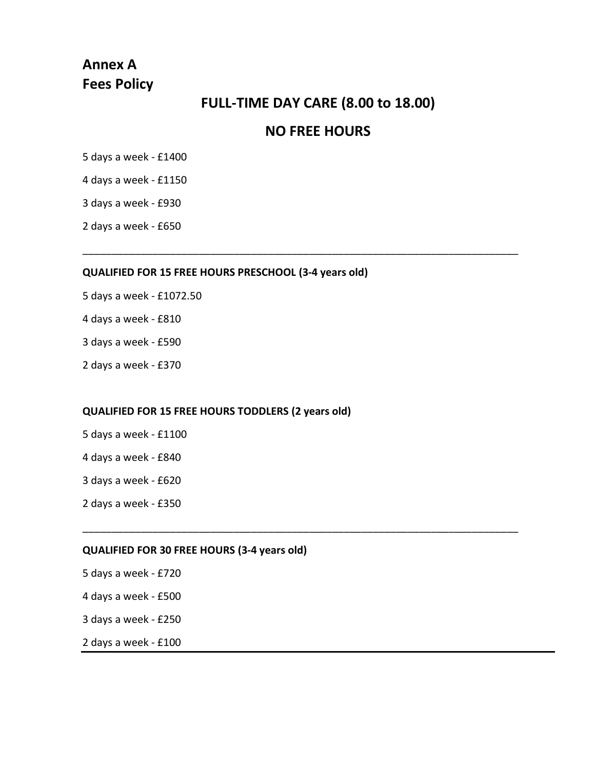# **Annex A Fees Policy**

# **FULL-TIME DAY CARE (8.00 to 18.00)**

# **NO FREE HOURS**

\_\_\_\_\_\_\_\_\_\_\_\_\_\_\_\_\_\_\_\_\_\_\_\_\_\_\_\_\_\_\_\_\_\_\_\_\_\_\_\_\_\_\_\_\_\_\_\_\_\_\_\_\_\_\_\_\_\_\_\_\_\_\_\_\_\_\_\_\_\_\_\_\_\_\_

\_\_\_\_\_\_\_\_\_\_\_\_\_\_\_\_\_\_\_\_\_\_\_\_\_\_\_\_\_\_\_\_\_\_\_\_\_\_\_\_\_\_\_\_\_\_\_\_\_\_\_\_\_\_\_\_\_\_\_\_\_\_\_\_\_\_\_\_\_\_\_\_\_\_\_

5 days a week - £1400

4 days a week - £1150

3 days a week - £930

2 days a week - £650

### **QUALIFIED FOR 15 FREE HOURS PRESCHOOL (3-4 years old)**

- 5 days a week £1072.50
- 4 days a week £810
- 3 days a week £590
- 2 days a week £370

### **QUALIFIED FOR 15 FREE HOURS TODDLERS (2 years old)**

- 5 days a week £1100
- 4 days a week £840
- 3 days a week £620
- 2 days a week £350

### **QUALIFIED FOR 30 FREE HOURS (3-4 years old)**

- 5 days a week £720
- 4 days a week £500
- 3 days a week £250
- 2 days a week £100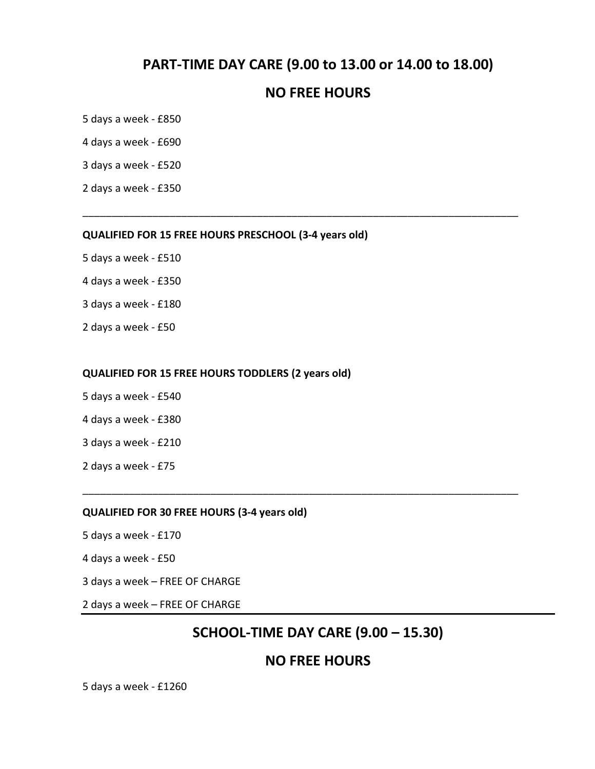# **PART-TIME DAY CARE (9.00 to 13.00 or 14.00 to 18.00)**

# **NO FREE HOURS**

\_\_\_\_\_\_\_\_\_\_\_\_\_\_\_\_\_\_\_\_\_\_\_\_\_\_\_\_\_\_\_\_\_\_\_\_\_\_\_\_\_\_\_\_\_\_\_\_\_\_\_\_\_\_\_\_\_\_\_\_\_\_\_\_\_\_\_\_\_\_\_\_\_\_\_

5 days a week - £850

4 days a week - £690

3 days a week - £520

2 days a week - £350

#### **QUALIFIED FOR 15 FREE HOURS PRESCHOOL (3-4 years old)**

- 5 days a week £510
- 4 days a week £350
- 3 days a week £180
- 2 days a week £50

#### **QUALIFIED FOR 15 FREE HOURS TODDLERS (2 years old)**

- 5 days a week £540
- 4 days a week £380
- 3 days a week £210
- 2 days a week £75

#### **QUALIFIED FOR 30 FREE HOURS (3-4 years old)**

- 5 days a week £170
- 4 days a week £50
- 3 days a week FREE OF CHARGE
- 2 days a week FREE OF CHARGE

# **SCHOOL-TIME DAY CARE (9.00 – 15.30)**

\_\_\_\_\_\_\_\_\_\_\_\_\_\_\_\_\_\_\_\_\_\_\_\_\_\_\_\_\_\_\_\_\_\_\_\_\_\_\_\_\_\_\_\_\_\_\_\_\_\_\_\_\_\_\_\_\_\_\_\_\_\_\_\_\_\_\_\_\_\_\_\_\_\_\_

# **NO FREE HOURS**

5 days a week - £1260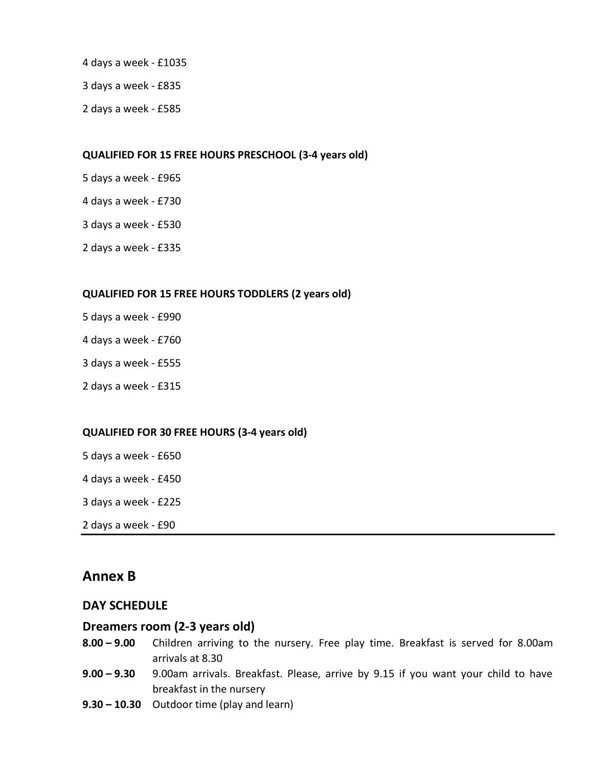- 4 days a week £1035
- 3 days a week £835
- 2 days a week £585

### **QUALIFIED FOR 15 FREE HOURS PRESCHOOL (3-4 years old)**

- 5 days a week £965
- 4 days a week £730
- 3 days a week £530
- 2 days a week £335

### **QUALIFIED FOR 15 FREE HOURS TODDLERS (2 years old)**

- 5 days a week £990
- 4 days a week £760
- 3 days a week £555
- 2 days a week £315

### **QUALIFIED FOR 30 FREE HOURS (3-4 years old)**

- 5 days a week £650
- 4 days a week £450
- 3 days a week £225
- 2 days a week £90

# **Annex B**

### **DAY SCHEDULE**

### **Dreamers room (2-3 years old)**

- **8.00 – 9.00** Children arriving to the nursery. Free play time. Breakfast is served for 8.00am arrivals at 8.30
- **9.00 – 9.30** 9.00am arrivals. Breakfast. Please, arrive by 9.15 if you want your child to have breakfast in the nursery
- **9.30 – 10.30** Outdoor time (play and learn)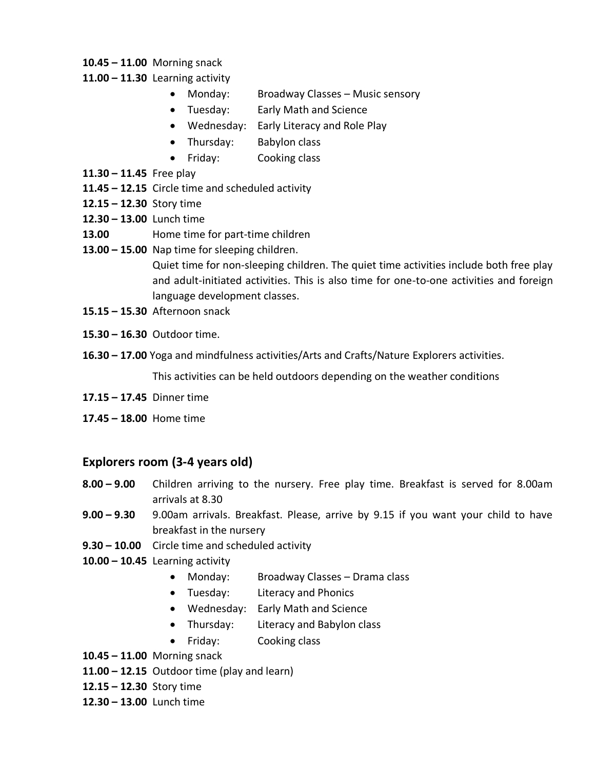- **10.45 – 11.00** Morning snack
- **11.00 – 11.30** Learning activity
	- Monday: Broadway Classes Music sensory
	- Tuesday: Early Math and Science
	- Wednesday: Early Literacy and Role Play
	- Thursday: Babylon class
	- Friday: Cooking class
- **11.30 – 11.45** Free play
- **11.45 – 12.15** Circle time and scheduled activity
- **12.15 – 12.30** Story time
- **12.30 – 13.00** Lunch time
- **13.00** Home time for part-time children
- **13.00 – 15.00** Nap time for sleeping children.

Quiet time for non-sleeping children. The quiet time activities include both free play and adult-initiated activities. This is also time for one-to-one activities and foreign language development classes.

- **15.15 – 15.30** Afternoon snack
- **15.30 – 16.30** Outdoor time.
- **16.30 – 17.00** Yoga and mindfulness activities/Arts and Crafts/Nature Explorers activities.

This activities can be held outdoors depending on the weather conditions

- **17.15 – 17.45** Dinner time
- **17.45 – 18.00** Home time

# **Explorers room (3-4 years old)**

- **8.00 – 9.00** Children arriving to the nursery. Free play time. Breakfast is served for 8.00am arrivals at 8.30
- **9.00 – 9.30** 9.00am arrivals. Breakfast. Please, arrive by 9.15 if you want your child to have breakfast in the nursery
- **9.30 – 10.00** Circle time and scheduled activity
- **10.00 – 10.45** Learning activity
	- Monday: Broadway Classes Drama class
	- Tuesday: Literacy and Phonics
	- Wednesday: Early Math and Science
	- Thursday: Literacy and Babylon class
	- Friday: Cooking class
- **10.45 – 11.00** Morning snack
- **11.00 – 12.15** Outdoor time (play and learn)
- **12.15 – 12.30** Story time
- **12.30 – 13.00** Lunch time